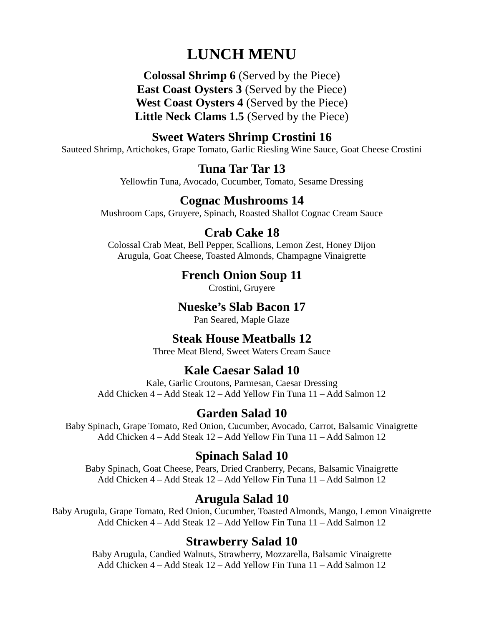# LUNCH MENU

Colossal Shrimp 6 (Served by the Piece) East Coast Oysters 3 (Served by the Piece) West Coast Oysters 4 (Served by the Piece) Little Neck Clams 1.5 (Served by the Piece)

### Sweet Waters Shrimp Crostini 16

Sauteed Shrimp, Artichokes, Grape Tomato, Garlic Riesling Wine Sauce, Goat Cheese Crostini

#### Tuna Tar Tar 13

Yellowfin Tuna, Avocado, Cucumber, Tomato, Sesame Dressing

### Cognac Mushrooms 14

Mushroom Caps, Gruyere, Spinach, Roasted Shallot Cognac Cream Sauce

### Crab Cake 18

Colossal Crab Meat, Bell Pepper, Scallions, Lemon Zest, Honey Dijon Arugula, Goat Cheese, Toasted Almonds, Champagne Vinaigrette

### French Onion Soup 11

Crostini, Gruyere

### Nueske's Slab Bacon 17

Pan Seared, Maple Glaze

### Steak House Meatballs 12

Three Meat Blend, Sweet Waters Cream Sauce

### Kale Caesar Salad 10

Kale, Garlic Croutons, Parmesan, Caesar Dressing Add Chicken 4 – Add Steak 12 – Add Yellow Fin Tuna 11 – Add Salmon 12

# Garden Salad 10

Baby Spinach, Grape Tomato, Red Onion, Cucumber, Avocado, Carrot, Balsamic Vinaigrette Add Chicken 4 – Add Steak 12 – Add Yellow Fin Tuna 11 – Add Salmon 12

### Spinach Salad 10

Baby Spinach, Goat Cheese, Pears, Dried Cranberry, Pecans, Balsamic Vinaigrette Add Chicken 4 – Add Steak 12 – Add Yellow Fin Tuna 11 – Add Salmon 12

# Arugula Salad 10

Baby Arugula, Grape Tomato, Red Onion, Cucumber, Toasted Almonds, Mango, Lemon Vinaigrette Add Chicken 4 – Add Steak 12 – Add Yellow Fin Tuna 11 – Add Salmon 12

### Strawberry Salad 10

Baby Arugula, Candied Walnuts, Strawberry, Mozzarella, Balsamic Vinaigrette Add Chicken 4 – Add Steak 12 – Add Yellow Fin Tuna 11 – Add Salmon 12